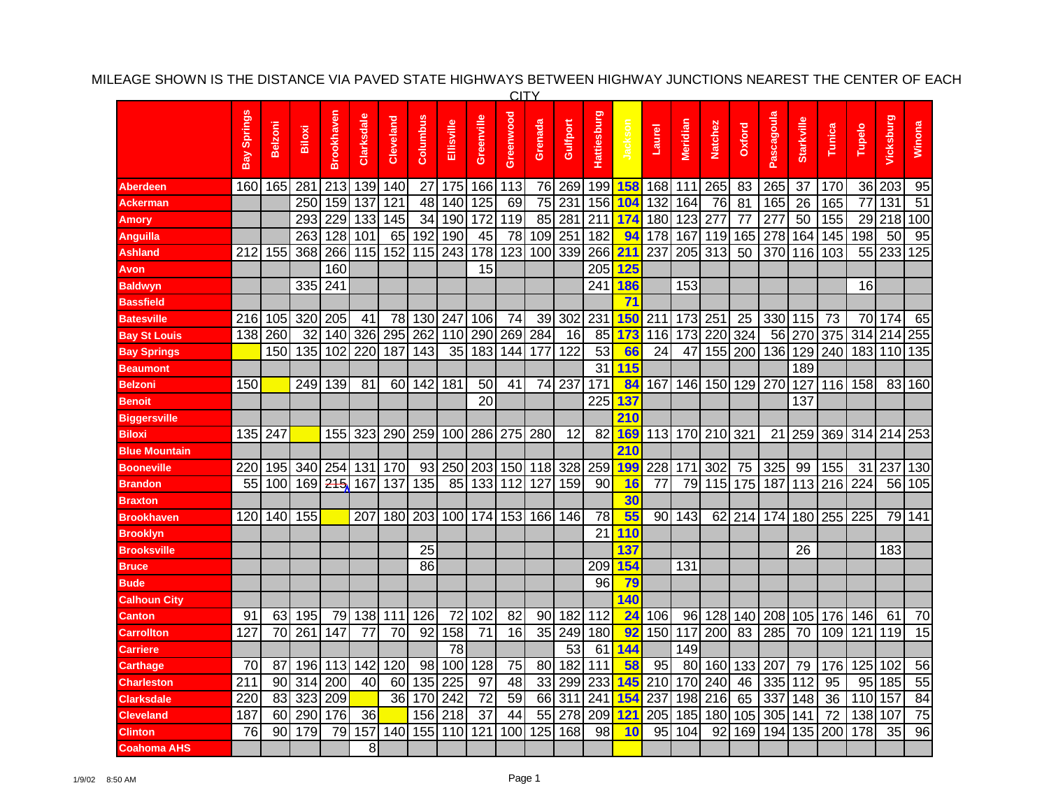|                      |             |                |        |            |            |                 |                 |            |            | <b>CITY</b>     |         |                  |                    |             |        |          |         |        |            |                   |
|----------------------|-------------|----------------|--------|------------|------------|-----------------|-----------------|------------|------------|-----------------|---------|------------------|--------------------|-------------|--------|----------|---------|--------|------------|-------------------|
|                      | Bay Springs | <b>Belzoni</b> | Biloxi | Brookhaven | Clarksdale | Cleveland       | Columbus        | Ellisville | Greenville | Greenwood       | Grenada | Gulfport         | <b>Hattiesburg</b> | $\tilde{z}$ | Laurel | Meridian | Natchez | Oxford | Pascagoula | <b>Starkville</b> |
| Aberdeen             | 160         | 165            | 281    | 213        | 139        | 140             | 27              | 175        | 166        | 113             | 76      | 269              | 199                | <b>158</b>  | 168    | 111      | 265     | 83     | 265        | 37                |
| <b>Ackerman</b>      |             |                | 250    | 159        | 137        | 121             | 48              | 140        | 125        | 69              | 75      | 231              | 156                | 104         | 132    | 164      | 76      | 81     | 165        | 26                |
| Amory                |             |                | 293    | 229        | 133        | 145             | $\overline{34}$ | 190        | 172        | 119             | 85      | 281              | 211                | 174         | 180    | 123      | 277     | 77     | 277        | 50                |
| <b>Anguilla</b>      |             |                | 263    | 128        | 101        | 65              | 192             | 190        | 45         | 78              | 109     | 251              | 182                | 94          | 178    | 167      | 119     | 165    | 278        | 164               |
| <b>Ashland</b>       | 212         | 155            | 368    | 266        | 115        | 152             |                 | 115 243    | 178        | 123             | 100     | 339              | 266 <b>211</b>     |             | 237    |          | 205 313 | 50     | 370 116    |                   |
| Avon                 |             |                |        | 160        |            |                 |                 |            | 15         |                 |         |                  |                    | 205 125     |        |          |         |        |            |                   |
| <b>Baldwyn</b>       |             |                | 335    | 241        |            |                 |                 |            |            |                 |         |                  | 241                | <b>186</b>  |        | 153      |         |        |            |                   |
| <b>Bassfield</b>     |             |                |        |            |            |                 |                 |            |            |                 |         |                  |                    | 71          |        |          |         |        |            |                   |
| <b>Batesville</b>    | 216         | 105            | 320    | 205        | 41         | 78              |                 | 130 247    | 106        | $\overline{74}$ | 39      | 302              | 231                | <b>150</b>  | 211    | 173      | 251     | 25     | 330 115    |                   |
| <b>Bay St Louis</b>  | 138         | 260            | 32     | 140        | 326        | 295             | 262             | 110        | 290        | 269             | 284     | 16               | 85                 | 173         | 116    | 173      | 220     | 324    | 56         | 270               |
| <b>Bay Springs</b>   |             | 150            | 135    | 102        | 220        | 187             | 143             | 35         | 183        | 144             | 177     | 122              | 53                 | 66          | 24     | 47       | 155     | 200    | 136        | 129               |
| <b>Beaumont</b>      |             |                |        |            |            |                 |                 |            |            |                 |         |                  | 31                 | 115         |        |          |         |        |            | 189               |
| <b>Belzoni</b>       | 150         |                | 249    | 139        | 81         | 601             | 142             | 181        | 50         | 41              | 74      | 237              | 171                | 84          | 167    | 146      | 150     | 129    | 270        | 127               |
| <b>Benoit</b>        |             |                |        |            |            |                 |                 |            | 20         |                 |         |                  | $\overline{2}25$   | 137         |        |          |         |        |            | 137               |
| <b>Biggersville</b>  |             |                |        |            |            |                 |                 |            |            |                 |         |                  |                    | 210         |        |          |         |        |            |                   |
| <b>Biloxi</b>        | 135         | 247            |        | 155        | 323        | 290             | 259             | 100        | 286        | 275             | 280     | 12               | 82                 | <b>169</b>  | 113    |          | 170 210 | 321    |            | 21 25             |
| <b>Blue Mountain</b> |             |                |        |            |            |                 |                 |            |            |                 |         |                  |                    | 210         |        |          |         |        |            |                   |
| <b>Booneville</b>    | 220         | 195            | 340    | 254        | 131        | 170             | 93              | 250        | 203        | 150             | 118     | 328              | 259                | <b>199</b>  | 228    | 171      | 302     | 75     | 325        | 99                |
| <b>Brandon</b>       | 55          | 100            | 169    | 215        | 167        | 137             | 135             | 85         | 133        | 112             | 127     | 159              | 90                 | 16          | 77     | 79       | 115     | 175    | 187        | 113               |
| <b>Braxton</b>       |             |                |        |            |            |                 |                 |            |            |                 |         |                  |                    | 30          |        |          |         |        |            |                   |
| <b>Brookhaven</b>    | 120         | 140            | 155    |            | 207        | 180             | 203             | 100l       | 174        | 153             | 166     | 146              | 78                 | 55          | 90 l   | 143      | 62      | 214    | 174I       | 180               |
| <b>Brooklyn</b>      |             |                |        |            |            |                 |                 |            |            |                 |         |                  | 21                 | 110         |        |          |         |        |            |                   |
| <b>Brooksville</b>   |             |                |        |            |            |                 | 25              |            |            |                 |         |                  |                    | 137         |        |          |         |        |            | 26                |
| <b>Bruce</b>         |             |                |        |            |            |                 | 86              |            |            |                 |         |                  | 209                | <b>154</b>  |        | 131      |         |        |            |                   |
| <b>Bude</b>          |             |                |        |            |            |                 |                 |            |            |                 |         |                  | 96                 | 79          |        |          |         |        |            |                   |
| Calhoun City         |             |                |        |            |            |                 |                 |            |            |                 |         |                  |                    | 140         |        |          |         |        |            |                   |
| Canton               | 91          | 63             | 195    |            | 79 138     | 111             | 126             | 72         | 102        | 82              | 90      | 182              | 112                | 24          | 106    | 96       | 128     | 140    | 208 105    |                   |
| Carrollton           | 127         | 70             | 261    | 147        | 77         | $\overline{70}$ | 92              | 158        | 71         | 16              | 35      | 249              | 180                | 92          | 150    | 117      | 200     | 83     | 285        | 70                |
| <b>Carriere</b>      |             |                |        |            |            |                 |                 | 78         |            |                 |         | 53               | 61                 | 144         |        | 149      |         |        |            |                   |
| <b>Carthage</b>      | 70          | 87             |        | 196 113    | 142        | 120             |                 | 98 100     | 128        | 75              | 80      | 182              | 111                | 58          | 95     |          | 80 160  | 133    | 207        | 79                |
| <b>Charleston</b>    | 211         | 90             | 314    | 200        | 40         | 60              | 135             | 225        | 97         | 48              | 33      | 299              | 233                | 145         | 210    | 170      | 240     | 46     | 335 112    |                   |
| <b>Clarksdale</b>    | 220         | 83             | 323    | 209        |            | 36              | 170             | 242        | 72         | 59              | 66      | $\overline{311}$ | 241                | 154         | 237    | 198      | 216     | 65     | 337        | 148               |
| <b>Cleveland</b>     | 187         | 60             | 290    | 176        | 36         |                 | 156             | 218        | 37         | 44              | 55      | 278              | 209                | <b>121</b>  | 205    | 185      | 180     | 105    | 305        | 14 <sup>′</sup>   |
| <b>Clinton</b>       | 76          | 90             | 179    | 79         | 157        | 140             | 155             | 110        | 121        | 100             | 125     | 168              | 98                 | 10          | 95     | 104      | 92      | 169    | 194        | 135               |
| <b>Coahoma AHS</b>   |             |                |        |            | 8          |                 |                 |            |            |                 |         |                  |                    |             |        |          |         |        |            |                   |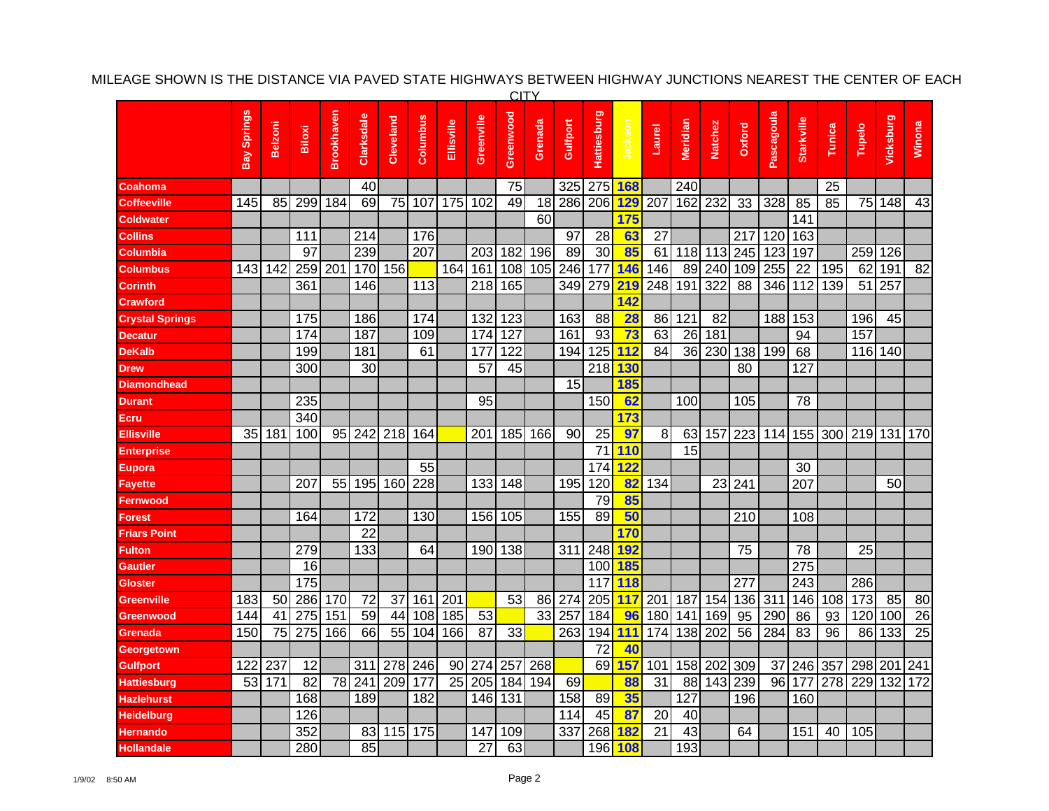|                        | <b>CITY</b> |                 |                 |                 |                  |           |          |                 |                 |           |         |          |                    |            |        |          |                  |                  |            |                   |        |         |                  |                 |
|------------------------|-------------|-----------------|-----------------|-----------------|------------------|-----------|----------|-----------------|-----------------|-----------|---------|----------|--------------------|------------|--------|----------|------------------|------------------|------------|-------------------|--------|---------|------------------|-----------------|
|                        | Bay Springs | <b>Belzoni</b>  | Biloxi          | Brookhaven      | Clarksdale       | Cleveland | Columbus | Ellisville      | Greenville      | Greenwood | Grenada | Gulfport | <b>Hattiesburg</b> | Jackson    | Laurel | Meridian | <b>Natchez</b>   | Oxford           | Pascagoula | <b>Starkville</b> | Tunica | Tupelo  | Vicksburg        | Winona          |
| Coahoma                |             |                 |                 |                 | 40               |           |          |                 |                 | 75        |         | 325      | 275                | <b>168</b> |        | 240      |                  |                  |            |                   | 25     |         |                  |                 |
| Coffeeville            | 145         | 85              | 299             | 184             | 69               | 75        | 107      | 175             | 102             | 49        | 18      | 286      | 206                | <b>129</b> | 207    | 162      | 232              | 33               | 328        | 85                | 85     | 75      | 148              | 43              |
| <b>Coldwater</b>       |             |                 |                 |                 |                  |           |          |                 |                 |           | 60      |          |                    | 175        |        |          |                  |                  |            | 141               |        |         |                  |                 |
| <b>Collins</b>         |             |                 | 111             |                 | 214              |           | 176      |                 |                 |           |         | 97       | 28                 | 63         | 27     |          |                  | 217              | 120        | 163               |        |         |                  |                 |
| Columbia               |             |                 | $\overline{97}$ |                 | 239              |           | 207      |                 | 203             | 182       | 196     | 89       | $\overline{30}$    | 85         | 61     | 118      | 113              | $\overline{245}$ | 123        | 197               |        | 259     | 126              |                 |
| Columbus               | 143         | 142             | 259             | 201             | 170              | 156       |          | 164             | 161             | 108       | 105     | 246      | 177                | 146        | 146    | 89       | 240              | 109              | 255        | 22                | 195    | 62      | 191              | 82              |
| Corinth                |             |                 | 361             |                 | 146              |           | 113      |                 | 218             | 165       |         | 349      | 279                | 219        | 248    | 191      | 322              | 88               | 346        | 112               | 139    | 51      | 257              |                 |
| <b>Crawford</b>        |             |                 |                 |                 |                  |           |          |                 |                 |           |         |          |                    | 142        |        |          |                  |                  |            |                   |        |         |                  |                 |
| <b>Crystal Springs</b> |             |                 | 175             |                 | 186              |           | 174      |                 | 132             | 123       |         | 163      | 88                 | 28         | 86     | 121      | 82               |                  | 188        | 153               |        | 196     | 45               |                 |
| <b>Decatur</b>         |             |                 | 174             |                 | 187              |           | 109      |                 | 174             | 127       |         | 161      | 93                 | 73         | 63     | 26       | 181              |                  |            | 94                |        | 157     |                  |                 |
| DeKalb                 |             |                 | 199             |                 | 181              |           | 61       |                 | 177             | 122       |         | 194      | 125                | 112        | 84     | 36       | 230              | 138              | 199        | 68                |        |         | 116 140          |                 |
| Drew                   |             |                 | 300             |                 | 30               |           |          |                 | 57              | 45        |         |          | 218                | 130        |        |          |                  | 80               |            | 127               |        |         |                  |                 |
| Diamondhead            |             |                 |                 |                 |                  |           |          |                 |                 |           |         | 15       |                    | 185        |        |          |                  |                  |            |                   |        |         |                  |                 |
| <b>Durant</b>          |             |                 | 235             |                 |                  |           |          |                 | 95              |           |         |          | 150                | 62         |        | 100      |                  | 105              |            | 78                |        |         |                  |                 |
| Ecru                   |             |                 | 340             |                 |                  |           |          |                 |                 |           |         |          |                    | 173        |        |          |                  |                  |            |                   |        |         |                  |                 |
| <b>Ellisville</b>      | 35          | 181             | 100             |                 | 95 242           | 218       | 164      |                 | 201             | 185       | 166     | 90       | 25                 | 97         | 8      | 63       | 157              | 223              | 114        | 155               | 300    | 219     | 131 170          |                 |
| Enterprise             |             |                 |                 |                 |                  |           |          |                 |                 |           |         |          | $\overline{71}$    | 110        |        | 15       |                  |                  |            |                   |        |         |                  |                 |
| Eupora                 |             |                 |                 |                 |                  |           | 55       |                 |                 |           |         |          | 174                | <b>122</b> |        |          |                  |                  |            | 30                |        |         |                  |                 |
| Fayette                |             |                 | 207             | 55              | 195              | 160       | 228      |                 | 133             | 148       |         | 195      | 120                | 82         | 134    |          | 23               | 241              |            | 207               |        |         | 50               |                 |
| Fernwood               |             |                 |                 |                 |                  |           |          |                 |                 |           |         |          | 79                 | 85         |        |          |                  |                  |            |                   |        |         |                  |                 |
| Forest                 |             |                 | 164             |                 | 172              |           | 130      |                 | 156             | 105       |         | 155      | 89                 | 50         |        |          |                  | 210              |            | 108               |        |         |                  |                 |
| Friars Point           |             |                 |                 |                 | 22               |           |          |                 |                 |           |         |          |                    | 170        |        |          |                  |                  |            |                   |        |         |                  |                 |
| <b>Fulton</b>          |             |                 | 279             |                 | 133              |           | 64       |                 | 190             | 138       |         | 311      | 248                | <b>192</b> |        |          |                  | 75               |            | 78                |        | 25      |                  |                 |
| Gautier                |             |                 | 16              |                 |                  |           |          |                 |                 |           |         |          | 100                | <b>185</b> |        |          |                  |                  |            | 275               |        |         |                  |                 |
| Gloster                |             |                 | 175             |                 |                  |           |          |                 |                 |           |         |          | 117                | 118        |        |          |                  | 277              |            | 243               |        | 286     |                  |                 |
| Greenville             | 183         | 50              | 286             | 170             | 72               | 37        | 161      | 201             |                 | 53        | 86      | 274      | 205                | 117        | 201    | 187      | 154              | 136              | 311        | 146               | 108    | 173     | 85               | 80              |
| Greenwood              | 144         | 41              | 275             | 151             | 59               | 44        | 108      | 185             | 53              |           | 33      | 257      | 184                | 96         | 180    | 141      | 169              | 95               | 290        | 86                | 93     | 120     | 100              | $\overline{26}$ |
| Grenada                | 150         | $\overline{75}$ | 275             | 166             | 66               | 55        | 104      | 166             | $\overline{87}$ | 33        |         | 263      | 194                | 111        | 174    | 138      | $\overline{202}$ | 56               | 284        | 83                | 96     | 86      | $\overline{133}$ | $\overline{25}$ |
| Georgetown             |             |                 |                 |                 |                  |           |          |                 |                 |           |         |          | 72                 | 40         |        |          |                  |                  |            |                   |        |         |                  |                 |
| Gulfport               | 122         | 237             | 12              |                 | 311              | 278 246   |          | 90              | 274             | 257       | 268     |          | 69                 | 157        | 101    | 158      | 202              | 309              | 37         | 246 357           |        | 298 201 |                  | 241             |
| <b>Hattiesburg</b>     | 53          | 171             | 82              | $\overline{78}$ | $\overline{241}$ | 209       | 177      | $\overline{25}$ | 205             | 184       | 194     | 69       |                    | 88         | 31     | 88       | 143              | 239              | 96         | 177               | 278    | 229     | 132              | 172             |
| <b>Hazlehurst</b>      |             |                 | 168             |                 | 189              |           | 182      |                 | 146             | 131       |         | 158      | 89                 | 35         |        | 127      |                  | 196              |            | 160               |        |         |                  |                 |
| Heidelburg             |             |                 | 126             |                 |                  |           |          |                 |                 |           |         | 114      | 45                 | 87         | 20     | 40       |                  |                  |            |                   |        |         |                  |                 |
| Hernando               |             |                 | 352             |                 | 83               | 115       | 175      |                 | 147             | 109       |         | 337      | 268                | <b>182</b> | 21     | 43       |                  | 64               |            | 151               | 40     | 105     |                  |                 |
| <b>Hollandale</b>      |             |                 | 280             |                 | 85               |           |          |                 | 27              | 63        |         |          |                    | 196 108    |        | 193      |                  |                  |            |                   |        |         |                  |                 |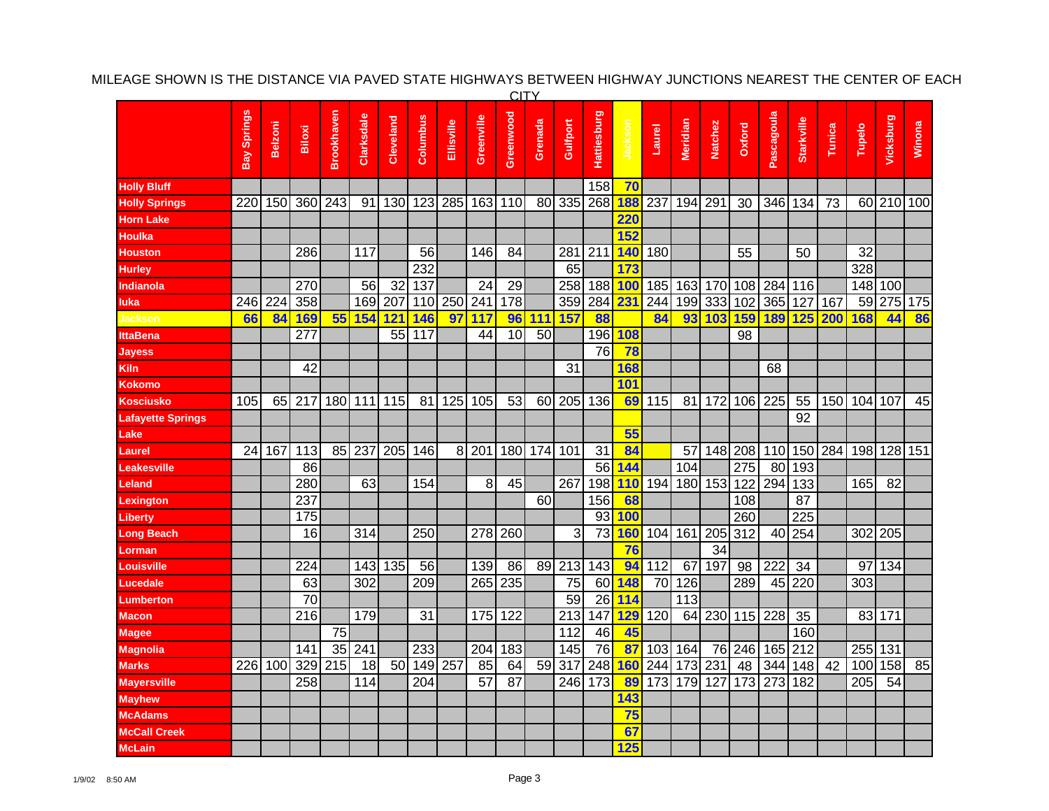| <b>CITY</b>          |                 |                |                 |                  |            |           |          |            |            |           |         |                  |                    |         |        |          |                |        |            |                   |        |        |            |        |
|----------------------|-----------------|----------------|-----------------|------------------|------------|-----------|----------|------------|------------|-----------|---------|------------------|--------------------|---------|--------|----------|----------------|--------|------------|-------------------|--------|--------|------------|--------|
|                      | Bay Springs     | <b>Belzoni</b> | Biloxi          | Brookhaven       | Clarksdale | Cleveland | Columbus | Ellisville | Greenville | Greenwood | Grenada | Gulfport         | <b>Hattiesburg</b> | Jacksor | Laurel | Meridian | <b>Natchez</b> | Oxford | Pascagoula | <b>Starkville</b> | Tunica | Tupelo | Vicksburg  | Winona |
| <b>Holly Bluff</b>   |                 |                |                 |                  |            |           |          |            |            |           |         |                  | 158                | 70      |        |          |                |        |            |                   |        |        |            |        |
| <b>Holly Springs</b> | 220             | 150            | 360             | 243              | 91         | 130       | 123      | 285        | 163        | 110       | 80      | 335              | 268                | 188     | 237    | 194      | 291            | 30     | 346        | 134               | 73     |        | 60 210 100 |        |
| <b>Horn Lake</b>     |                 |                |                 |                  |            |           |          |            |            |           |         |                  |                    | 220     |        |          |                |        |            |                   |        |        |            |        |
| <b>Houlka</b>        |                 |                |                 |                  |            |           |          |            |            |           |         |                  |                    | 152     |        |          |                |        |            |                   |        |        |            |        |
| Houston              |                 |                | 286             |                  | 117        |           | 56       |            | 146        | 84        |         | 281              | 211                | 140     | 180    |          |                | 55     |            | 50                |        | 32     |            |        |
| <b>Hurley</b>        |                 |                |                 |                  |            |           | 232      |            |            |           |         | 65               |                    | 173     |        |          |                |        |            |                   |        | 328    |            |        |
| Indianola            |                 |                | 270             |                  | 56         | 32        | 137      |            | 24         | 29        |         | 258              | 188                | 100     | 185    | 163      | 170            | 108    | 284        | 116               |        | 148    | 100        |        |
| luka                 | 246             | 224            | 358             |                  | 169        | 207       | 110      | 250        | 241        | 178       |         | 359              | 284                | 231     | 244    | 199      | 333            | 102    | 365        | 127               | 167    | 59     | 275 175    |        |
| Jackson              | 66              | 84             | 169             | 55               | 154        | 121       | 146      | 97         | 117        | 96        | 111     | 157              | 88                 |         | 84     |          | 93 103         | 159    | <b>189</b> | 125               | 200    | 168    | 44         | 86     |
| <b>IttaBena</b>      |                 |                | 277             |                  |            | 55        | 117      |            | 44         | 10        | 50      |                  | 196                | 108     |        |          |                | 98     |            |                   |        |        |            |        |
| Jayess               |                 |                |                 |                  |            |           |          |            |            |           |         |                  | 76                 | 78      |        |          |                |        |            |                   |        |        |            |        |
| Kiln                 |                 |                | 42              |                  |            |           |          |            |            |           |         | 31               |                    | 168     |        |          |                |        | 68         |                   |        |        |            |        |
| Kokomo               |                 |                |                 |                  |            |           |          |            |            |           |         |                  |                    | 101     |        |          |                |        |            |                   |        |        |            |        |
| Kosciusko            | 105             | 65             | 217             | 180              | 111        | 115       | 81       | 125        | 105        | 53        | 60      | 205              | 136                | 69      | 115    | 81       | 172            | 106    | 225        | 55                | 150    | 104    | 107        | 45     |
| Lafayette Springs    |                 |                |                 |                  |            |           |          |            |            |           |         |                  |                    |         |        |          |                |        |            | 92                |        |        |            |        |
| Lake                 |                 |                |                 |                  |            |           |          |            |            |           |         |                  |                    | 55      |        |          |                |        |            |                   |        |        |            |        |
| Laurel               | $\overline{24}$ | 167            | 113             | 85               | 237        | 205       | 146      | 8          | 201        | 180       | 174     | 101              | 31                 | 84      |        | 57       | 148            | 208    | 110        | 150               | 284    | 198    | 128 151    |        |
| <b>Leakesville</b>   |                 |                | 86              |                  |            |           |          |            |            |           |         |                  | 56                 | 144     |        | 104      |                | 275    | 80         | 193               |        |        |            |        |
| Leland               |                 |                | 280             |                  | 63         |           | 154      |            | 8          | 45        |         | 267              | 198                | 110     | 194    | 180      | 153            | 122    | 294        | 133               |        | 165    | 82         |        |
| .exington            |                 |                | 237             |                  |            |           |          |            |            |           | 60      |                  | 156                | 68      |        |          |                | 108    |            | 87                |        |        |            |        |
| Liberty              |                 |                | 175             |                  |            |           |          |            |            |           |         |                  | 93                 | 100     |        |          |                | 260    |            | 225               |        |        |            |        |
| ong Beach            |                 |                | 16              |                  | 314        |           | 250      |            | 278        | 260       |         | 3                | 73                 | 160     | 104    | 161      | 205            | 312    | 40         | 254               |        | 302    | 205        |        |
| <b>_orman</b>        |                 |                |                 |                  |            |           |          |            |            |           |         |                  |                    | 76      |        |          | 34             |        |            |                   |        |        |            |        |
| Louisville           |                 |                | 224             |                  | 143        | 135       | 56       |            | 139        | 86        | 89      | $\overline{213}$ | $\overline{143}$   | 94      | 112    | 67       | 197            | 98     | 222        | 34                |        | 97     | 134        |        |
| Lucedale             |                 |                | 63              |                  | 302        |           | 209      |            | 265        | 235       |         | 75               | 60                 | 148     | 70     | 126      |                | 289    | 45         | 220               |        | 303    |            |        |
| -umberton            |                 |                | $\overline{70}$ |                  |            |           |          |            |            |           |         | 59               | 26                 | 114     |        | 113      |                |        |            |                   |        |        |            |        |
| Macon                |                 |                | 216             |                  | 179        |           | 31       |            | 175        | 122       |         | 213              | 147                | 129     | 120    | 64       | 230            | 115    | 228        | 35                |        | 83     | 171        |        |
| Magee                |                 |                |                 | 75               |            |           |          |            |            |           |         | 112              | 46                 | 45      |        |          |                |        |            | 160               |        |        |            |        |
| Magnolia             |                 |                | 141             | $\overline{35}$  | 241        |           | 233      |            | 204        | 183       |         | 145              | 76                 | 87      | 103    | 164      |                | 76 246 | 165        | 212               |        | 255    | 131        |        |
| <b>Marks</b>         | 226             | 100            | 329             | $\overline{215}$ | 18         |           | 50 149   | 257        | 85         | 64        | 59      | $\overline{317}$ | 248                | 160     | 244    | 173      | 231            | 48     | 344        | 148               | 42     | 100    | 158        | 85     |
| <b>Mayersville</b>   |                 |                | 258             |                  | 114        |           | 204      |            | 57         | 87        |         | 246              | 173                | 89      | 173    | 179      | 127            | 173    | 273        | 182               |        | 205    | 54         |        |
| <b>Mayhew</b>        |                 |                |                 |                  |            |           |          |            |            |           |         |                  |                    | 143     |        |          |                |        |            |                   |        |        |            |        |
| <b>McAdams</b>       |                 |                |                 |                  |            |           |          |            |            |           |         |                  |                    | 75      |        |          |                |        |            |                   |        |        |            |        |
| <b>McCall Creek</b>  |                 |                |                 |                  |            |           |          |            |            |           |         |                  |                    | 67      |        |          |                |        |            |                   |        |        |            |        |
| <b>McLain</b>        |                 |                |                 |                  |            |           |          |            |            |           |         |                  |                    | 125     |        |          |                |        |            |                   |        |        |            |        |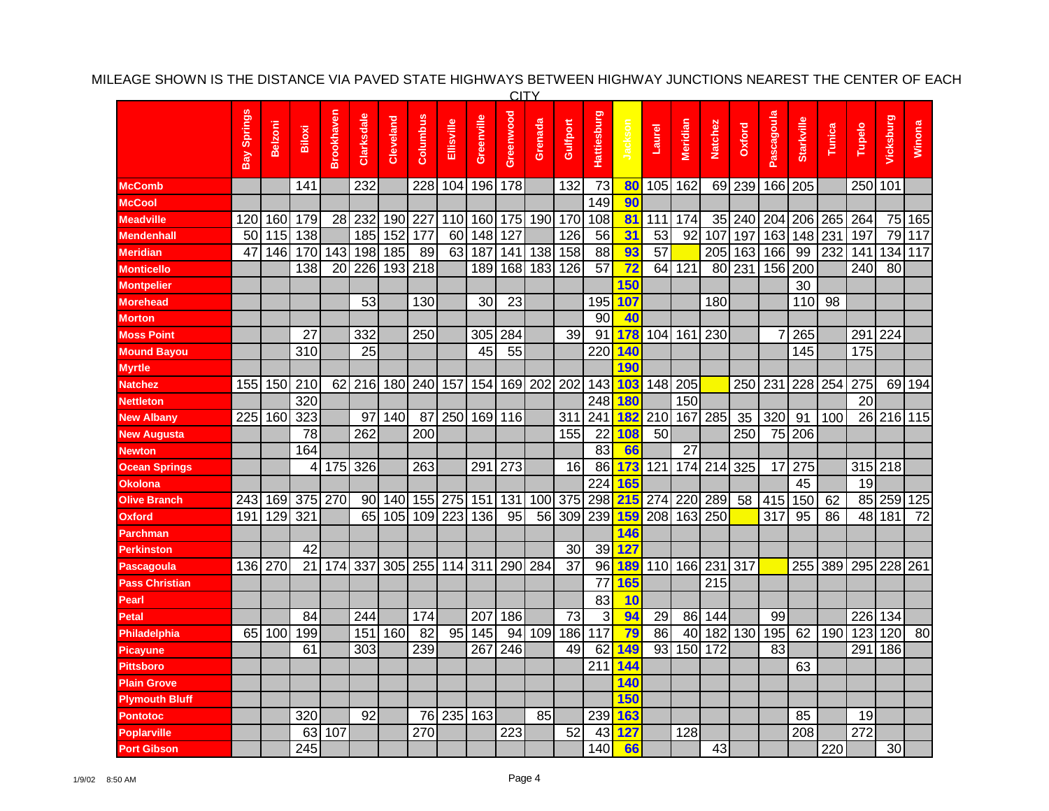|                       |             |                |        |                 |            |           |                  |            |            | <b>CITY</b> |         |          |                 |                 |        |                 |             |        |            |                   |        |        |                 |         |
|-----------------------|-------------|----------------|--------|-----------------|------------|-----------|------------------|------------|------------|-------------|---------|----------|-----------------|-----------------|--------|-----------------|-------------|--------|------------|-------------------|--------|--------|-----------------|---------|
|                       | Bay Springs | <b>Belzoni</b> | Biloxi | Brookhaven      | Clarksdale | Cleveland | Columbus         | Ellisville | Greenville | Greenwood   | Grenada | Gulfport | Hattiesburg     | Jacksor         | Laurel | Meridian        | Natchez     | Oxford | Pascagoula | <b>Starkville</b> | Tunica | Tupelo | Vicksburg       | Winona  |
| <b>McComb</b>         |             |                | 141    |                 | 232        |           | 228              | 104        | 196        | 178         |         | 132      | 73              | 80              | 105    | 162             |             | 69 239 | 166        | 205               |        | 250    | 101             |         |
| <b>McCool</b>         |             |                |        |                 |            |           |                  |            |            |             |         |          | 149             | 90              |        |                 |             |        |            |                   |        |        |                 |         |
| <b>Meadville</b>      | 120         | 160            | 179    |                 | 28 232     | 190       | 227              | 110        | 160        | 175         | 190     | 170      | 108             | 81              | 111    | 174             | 35          | 240    | 204        | 206               | 265    | 264    |                 | 75 165  |
| <b>Mendenhall</b>     | 50          | 115            | 138    |                 | 185        | 152       | 177              | 60         | 148        | 127         |         | 126      | 56              | 31              | 53     | 92              | 107         | 197    | 163        | 148               | 231    | 197    |                 | 79 117  |
| <b>Meridian</b>       | 47          | 146            | 170    | 143             | 198        | 185       | 89               | 63         | 187        | 141         | 138     | 158      | 88              | 93              | 57     |                 | 205         | 163    | 166        | 99                | 232    | 141    |                 | 134 117 |
| <b>Monticello</b>     |             |                | 138    | $\overline{20}$ | 226        | 193       | $\overline{218}$ |            | 189        | 168         | 183     | 126      | $\overline{57}$ | $\overline{72}$ | 64     | 121             | 80          | 231    | 156        | 200               |        | 240    | $\overline{80}$ |         |
| <b>Montpelier</b>     |             |                |        |                 |            |           |                  |            |            |             |         |          |                 | <b>150</b>      |        |                 |             |        |            | 30                |        |        |                 |         |
| <b>Morehead</b>       |             |                |        |                 | 53         |           | 130              |            | 30         | 23          |         |          | 195             | 107             |        |                 | 180         |        |            | 110               | 98     |        |                 |         |
| <b>Morton</b>         |             |                |        |                 |            |           |                  |            |            |             |         |          | 90              | 40              |        |                 |             |        |            |                   |        |        |                 |         |
| <b>Moss Point</b>     |             |                | 27     |                 | 332        |           | 250              |            | 305        | 284         |         | 39       | 91              | 178             | 104    | 161             | 230         |        | 7          | 265               |        | 291    | 224             |         |
| <b>Mound Bayou</b>    |             |                | 310    |                 | 25         |           |                  |            | 45         | 55          |         |          | 220             | 140             |        |                 |             |        |            | 145               |        | 175    |                 |         |
| <b>Myrtle</b>         |             |                |        |                 |            |           |                  |            |            |             |         |          |                 | 190             |        |                 |             |        |            |                   |        |        |                 |         |
| <b>Natchez</b>        | 155         | 150            | 210    |                 | 62 216     | 180       | 240              | 157        | 154        | 169         | 202     | 202      | 143             | 103             |        | 148 205         |             | 250    | 231        | 228               | 254    | 275    |                 | 69 194  |
| <b>Nettleton</b>      |             |                | 320    |                 |            |           |                  |            |            |             |         |          | 248             | 180             |        | 150             |             |        |            |                   |        | 20     |                 |         |
| <b>New Albany</b>     | 225         | 160            | 323    |                 | 97         | 140       | 87               | 250        |            | 169 116     |         | 311      | 241             | <b>182</b>      |        |                 | 210 167 285 | 35     | 320        | 91                | 100    |        | 26 216 115      |         |
| <b>New Augusta</b>    |             |                | 78     |                 | 262        |           | 200              |            |            |             |         | 155      | 22              | 108             | 50     |                 |             | 250    | 75         | 206               |        |        |                 |         |
| <b>Newton</b>         |             |                | 164    |                 |            |           |                  |            |            |             |         |          | $\overline{83}$ | 66              |        | $\overline{27}$ |             |        |            |                   |        |        |                 |         |
| <b>Ocean Springs</b>  |             |                | 4      | 175             | 326        |           | 263              |            | 291        | 273         |         | 16       | 86              | 173             | 121    | 174             | 214         | 325    | 17         | 275               |        |        | 315 218         |         |
| <b>Okolona</b>        |             |                |        |                 |            |           |                  |            |            |             |         |          | 224             | 165             |        |                 |             |        |            | 45                |        | 19     |                 |         |
| <b>Olive Branch</b>   | 243         | 169            | 375    | 270             | 90         | 140       | 155              | 275        | 151        | 131         | 100     | 375      | 298             | 215             | 274    | 220             | 289         | 58     | 415        | 150               | 62     | 85     |                 | 259 125 |
| <b>Oxford</b>         | 191         | 129            | 321    |                 | 65         | 105       | 109              | 223        | 136        | 95          | 56      | 309      | 239             | 159             | 208    | 163             | 250         |        | 317        | 95                | 86     | 48     | 181             | 72      |
| <b>Parchman</b>       |             |                |        |                 |            |           |                  |            |            |             |         |          |                 | 146             |        |                 |             |        |            |                   |        |        |                 |         |
| <b>Perkinston</b>     |             |                | 42     |                 |            |           |                  |            |            |             |         | 30       | 39              | 127             |        |                 |             |        |            |                   |        |        |                 |         |
| Pascagoula            | 136         | 270            | 21     | 174             | 337        | 305       | 255              | 114        | 311        | 290         | 284     | 37       | 96              | 189             | 110    |                 | 166 231     | 317    |            | 255               | 389    | 295    | 228 261         |         |
| <b>Pass Christian</b> |             |                |        |                 |            |           |                  |            |            |             |         |          | 77              | 165             |        |                 | 215         |        |            |                   |        |        |                 |         |
| Pearl                 |             |                |        |                 |            |           |                  |            |            |             |         |          | 83              | 10              |        |                 |             |        |            |                   |        |        |                 |         |
| Petal                 |             |                | 84     |                 | 244        |           | 174              |            | 207        | 186         |         | 73       | 3               | 94              | 29     | 86              | 144         |        | 99         |                   |        | 226    | 134             |         |
| Philadelphia          | 65          | 100            | 199    |                 | 151        | 160       | 82               | 95         | 145        | 94          | 109     | 186      | 117             | 79              | 86     | 40              | 182         | 130    | 195        | 62                | 190    | 123    | 120             | 80      |
| <b>Picayune</b>       |             |                | 61     |                 | 303        |           | 239              |            | 267        | 246         |         | 49       | 62              | 149             | 93     | 150             | 172         |        | 83         |                   |        | 291    | 186             |         |
| <b>Pittsboro</b>      |             |                |        |                 |            |           |                  |            |            |             |         |          | 211             | 144             |        |                 |             |        |            | 63                |        |        |                 |         |
| <b>Plain Grove</b>    |             |                |        |                 |            |           |                  |            |            |             |         |          |                 | 140             |        |                 |             |        |            |                   |        |        |                 |         |
| <b>Plymouth Bluff</b> |             |                |        |                 |            |           |                  |            |            |             |         |          |                 | 150             |        |                 |             |        |            |                   |        |        |                 |         |
| Pontotoc              |             |                | 320    |                 | 92         |           | 76               | 235        | 163        |             | 85      |          | 239             | 163             |        |                 |             |        |            | 85                |        | 19     |                 |         |
| Poplarville           |             |                | 63     | 107             |            |           | 270              |            |            | 223         |         | 52       | 43              | 127             |        | 128             |             |        |            | 208               |        | 272    |                 |         |
| <b>Port Gibson</b>    |             |                | 245    |                 |            |           |                  |            |            |             |         |          | 140             | 66              |        |                 | 43          |        |            |                   | 220    |        | 30 <sup>1</sup> |         |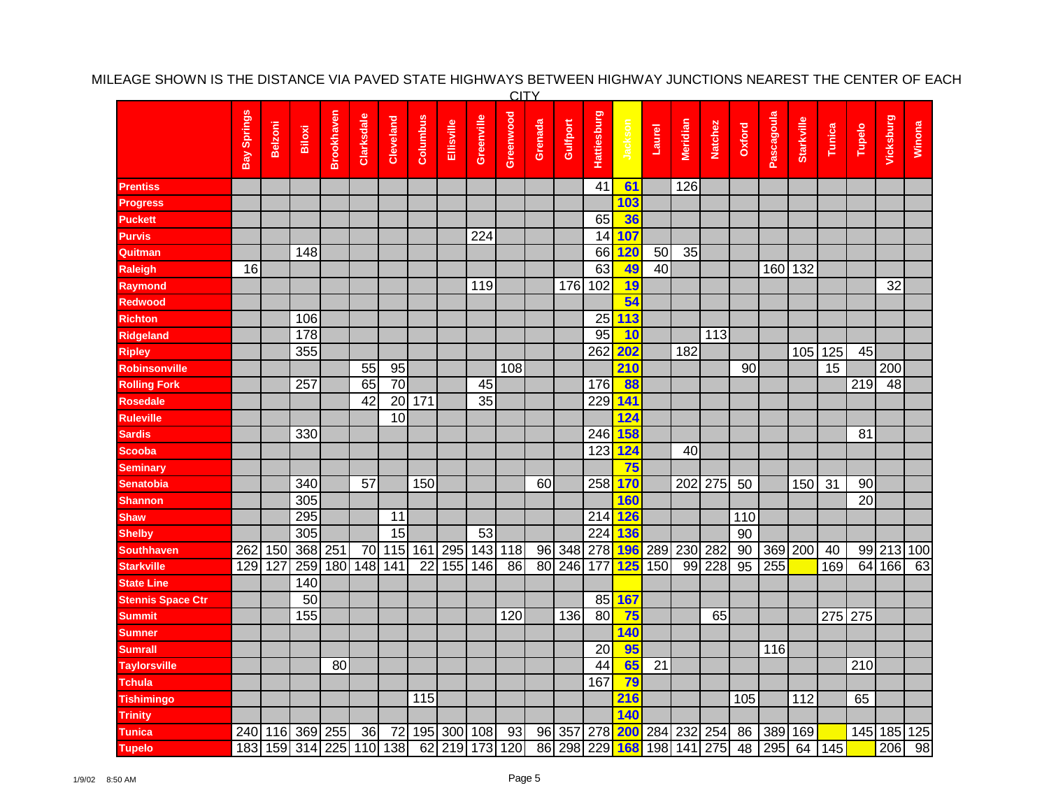|                          | <b>CITY</b> |                |        |            |                         |                 |                 |            |                 |                |                 |                |                    |            |        |          |                |                 |            |            |        |                 |           |        |
|--------------------------|-------------|----------------|--------|------------|-------------------------|-----------------|-----------------|------------|-----------------|----------------|-----------------|----------------|--------------------|------------|--------|----------|----------------|-----------------|------------|------------|--------|-----------------|-----------|--------|
|                          | Bay Springs | <b>Belzoni</b> | Biloxi | Brookhaven | Clarksdale              | Cleveland       | Columbus        | Ellisville | Greenville      | Greenwood      | Grenada         | Gulfport       | <b>Hattiesburg</b> | Jackson    | Laurel | Meridian | <b>Natchez</b> | Oxford          | Pascagoula | Starkville | Tunica | Tupelo          | Vicksburg | Winona |
| Prentiss                 |             |                |        |            |                         |                 |                 |            |                 |                |                 |                | 41                 | 61         |        | 126      |                |                 |            |            |        |                 |           |        |
| <b>Progress</b>          |             |                |        |            |                         |                 |                 |            |                 |                |                 |                |                    | 103        |        |          |                |                 |            |            |        |                 |           |        |
| Puckett                  |             |                |        |            |                         |                 |                 |            |                 |                |                 |                | 65                 | 36         |        |          |                |                 |            |            |        |                 |           |        |
| Purvis                   |             |                |        |            |                         |                 |                 |            | 224             |                |                 |                | 14                 | 107        |        |          |                |                 |            |            |        |                 |           |        |
| Quitman                  |             |                | 148    |            |                         |                 |                 |            |                 |                |                 |                | 66                 | 120        | 50     | 35       |                |                 |            |            |        |                 |           |        |
| Raleigh                  | 16          |                |        |            |                         |                 |                 |            |                 |                |                 |                | 63                 | 49         | 40     |          |                |                 |            | 160 132    |        |                 |           |        |
| Raymond                  |             |                |        |            |                         |                 |                 |            | 119             |                |                 | 176            | 102                | 19         |        |          |                |                 |            |            |        |                 | 32        |        |
| Redwood                  |             |                |        |            |                         |                 |                 |            |                 |                |                 |                |                    | 54         |        |          |                |                 |            |            |        |                 |           |        |
| <b>Richton</b>           |             |                | 106    |            |                         |                 |                 |            |                 |                |                 |                | 25                 | 113        |        |          |                |                 |            |            |        |                 |           |        |
| <b>Ridgeland</b>         |             |                | 178    |            |                         |                 |                 |            |                 |                |                 |                | 95                 | 10         |        |          | 113            |                 |            |            |        |                 |           |        |
| <b>Ripley</b>            |             |                | 355    |            |                         |                 |                 |            |                 |                |                 |                | 262                | 202        |        | 182      |                |                 |            | 105        | 125    | 45              |           |        |
| Robinsonville            |             |                |        |            | 55                      | 95              |                 |            |                 | 108            |                 |                |                    | 210        |        |          |                | 90              |            |            | 15     |                 | 200       |        |
| <b>Rolling Fork</b>      |             |                | 257    |            | 65                      | 70              |                 |            | 45              |                |                 |                | 176                | 88         |        |          |                |                 |            |            |        | 219             | 48        |        |
| <b>Rosedale</b>          |             |                |        |            | 42                      | 20              | 171             |            | $\overline{35}$ |                |                 |                | 229                | 141        |        |          |                |                 |            |            |        |                 |           |        |
| <b>Ruleville</b>         |             |                |        |            |                         | 10              |                 |            |                 |                |                 |                |                    | 124        |        |          |                |                 |            |            |        |                 |           |        |
| <b>Sardis</b>            |             |                | 330    |            |                         |                 |                 |            |                 |                |                 |                | 246                | <b>158</b> |        |          |                |                 |            |            |        | 81              |           |        |
| <b>Scooba</b>            |             |                |        |            |                         |                 |                 |            |                 |                |                 |                | 123                | 124        |        | 40       |                |                 |            |            |        |                 |           |        |
| <b>Seminary</b>          |             |                |        |            |                         |                 |                 |            |                 |                |                 |                |                    | 75         |        |          |                |                 |            |            |        |                 |           |        |
| Senatobia                |             |                | 340    |            | 57                      |                 | 150             |            |                 |                | 60              |                | 258                | 170        |        |          | 202 275        | 50              |            | 150        | 31     | 90              |           |        |
| Shannon                  |             |                | 305    |            |                         |                 |                 |            |                 |                |                 |                |                    | <b>160</b> |        |          |                |                 |            |            |        | $\overline{20}$ |           |        |
| <b>Shaw</b>              |             |                | 295    |            |                         | 11              |                 |            |                 |                |                 |                | 214                | <b>126</b> |        |          |                | 110             |            |            |        |                 |           |        |
| <b>Shelby</b>            |             |                | 305    |            |                         | $\overline{15}$ |                 |            | 53              |                |                 |                | 224                | 136        |        |          |                | 90              |            |            |        |                 |           |        |
| <b>Southhaven</b>        | 262         | 150            | 368    | 251        | 70                      | 115             | 161             | 295        | 143             | 118            | 96              | 348            | 278                | <b>196</b> | 289    | 230      | 282            | 90              |            | 369 200    | 40     | 99              | 213 100   |        |
| <b>Starkville</b>        | 129         | 127            | 259    | 180        | $\overline{148}$        | 141             | $\overline{22}$ | 155        | 146             | 86             | $\overline{80}$ | 246            | 177                | 125        | 150    |          | 99 228         | $\overline{95}$ | 255        |            | 169    | 64              | 166       | 63     |
| <b>State Line</b>        |             |                | 140    |            |                         |                 |                 |            |                 |                |                 |                |                    |            |        |          |                |                 |            |            |        |                 |           |        |
| <b>Stennis Space Ctr</b> |             |                | 50     |            |                         |                 |                 |            |                 |                |                 |                | 85                 | 167        |        |          |                |                 |            |            |        |                 |           |        |
| <b>Summit</b>            |             |                | 155    |            |                         |                 |                 |            |                 | 120            |                 | 136            | 80                 | 75         |        |          | 65             |                 |            |            |        | 275 275         |           |        |
| <b>Sumner</b>            |             |                |        |            |                         |                 |                 |            |                 |                |                 |                |                    | 140        |        |          |                |                 |            |            |        |                 |           |        |
| <b>Sumrall</b>           |             |                |        |            |                         |                 |                 |            |                 |                |                 |                | 20                 | 95         |        |          |                |                 | 116        |            |        |                 |           |        |
| <b>Taylorsville</b>      |             |                |        | 80         |                         |                 |                 |            |                 |                |                 |                | 44                 | 65         | 21     |          |                |                 |            |            |        | 210             |           |        |
| <b>Tchula</b>            |             |                |        |            |                         |                 |                 |            |                 |                |                 |                | 167                | 79         |        |          |                |                 |            |            |        |                 |           |        |
| <b>Tishimingo</b>        |             |                |        |            |                         |                 | 115             |            |                 |                |                 |                |                    | 216        |        |          |                | 105             |            | 112        |        | 65              |           |        |
| <b>Trinity</b>           |             |                |        |            |                         |                 |                 |            |                 |                |                 |                |                    | 140        |        |          |                |                 |            |            |        |                 |           |        |
| <b>Tunica</b>            | 240         | 116            | 369    | 255        | 36                      | 72              | 195             |            | 300 108         | 93             | 96              | 357            | 278                | <b>200</b> |        | 284 232  | 254            | 86              | 389        | 169        |        | 145             | 185 125   |        |
| <b>Tupelo</b>            |             |                |        |            | 183 159 314 225 110 138 |                 |                 |            |                 | 62 219 173 120 |                 | 86 298 229 168 |                    |            |        |          | 198 141 275    | 48              | 295        | 64         | 145    |                 | 206       | 98     |